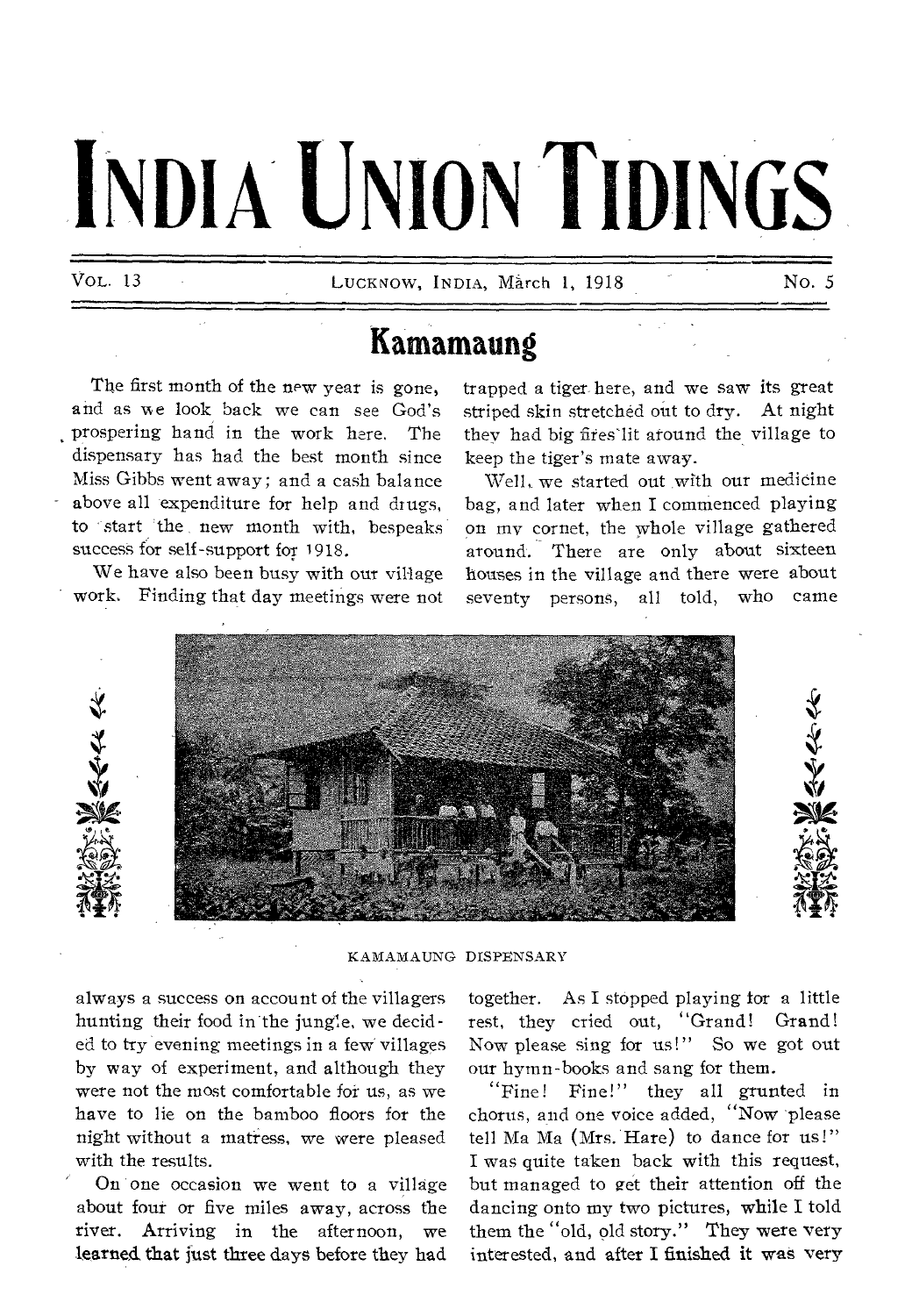# **INDIA UNION TIDINGS**

VOL. 13 LUCKNOW, INDIA, March 1, 1918 No. 5

## **Kamamaung**

The first month of the new year is gone, and as we look back we can see God's prospering hand in the work here, The dispensary has had the best month since Miss Gibbs went away; and a cash balance above all expenditure for help and drugs, to start the new month with, bespeaks success for self-support for 1918.

We have also been busy with our village work. Finding that day meetings were not trapped a tiger here, and we saw its great striped skin stretched out to dry. At night they had big fires'lit around the village to keep the tiger's mate away.

Well, we started out with our medicine bag, and later when I commenced playing on my cornet, the whole village gathered around. There are only about sixteen houses in the village and there were about seventy persons, all told, who came



#### KAMAMAUNG DISPENSARY

always a success on account of the villagers hunting their food in the jungle, we decided to try evening meetings in a few villages by way of experiment, and although they were not the most comfortable for us, as we have to lie on the bamboo floors for the night without a matress, we were pleased with the results.

On one occasion we went to a village about four or five miles away, across the river. Arriving in the afternoon, we learned that just three days before they had

together. As I stopped playing for a little rest, they cried out, "Grand! Grand! Now please sing for us!" So we got out our hymn-books and sang for them.

"Fine! Fine!" they all grunted in chorus, and one voice added, "Now 'please tell Ma Ma (Mrs. Hare) to dance for us!" I was quite taken back with this request, but managed to get their attention off the dancing onto my two pictures, while I told them the "old, old story." They were very interested, and after I finished it was very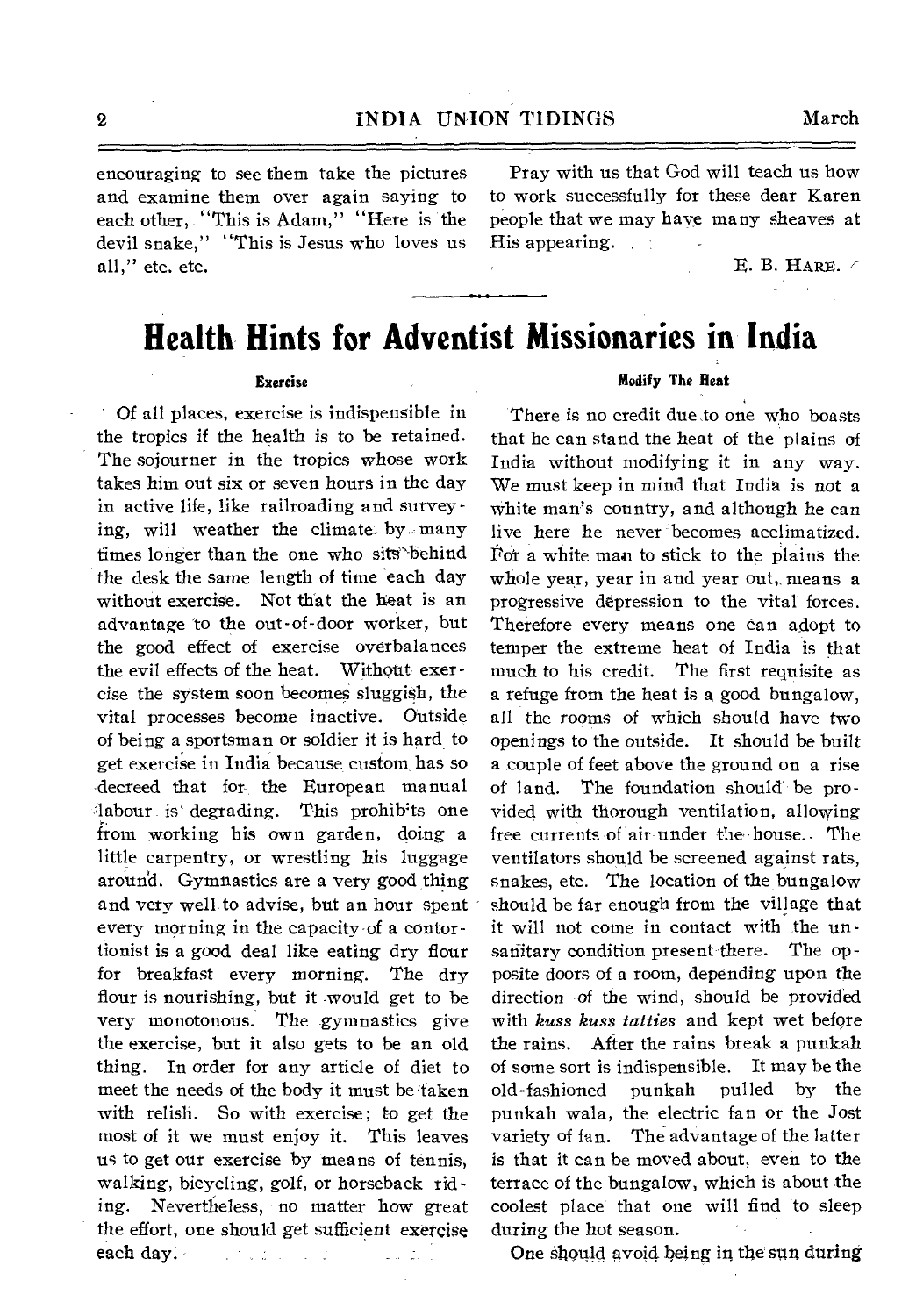### 2 INDIA UNION TIDINGS March

encouraging to see them take the pictures and examine them over again saying to each other, "This is Adam," "Here is the devil snake," "This is Jesus who loves us all," etc. etc.

Pray with us that God will teach us how to work successfully for these dear Karen people that we may have many sheaves at His appearing.  $\sim 10^{-10}$ 

E. B. HARE.

## **Health Hints for Adventist Missionaries in India**

#### **Exercise**

Of all places, exercise is indispensible in the tropics if the health is to be retained. The sojourner in the tropics whose work takes him out six or seven hours in the day in active life, like railroading and surveying, will weather the climate by many times longer than the one who sits behind the desk the same length of time each day without exercise. Not that the heat is an advantage 'to the out-of-door worker, but the good effect of exercise overbalances the evil effects of the heat. Without exercise the system soon becomes sluggish, the vital processes become inactive. Outside of being a sportsman or soldier it is hard to get exercise in India because custom, has so decreed that for, the European manual labour is degrading. This prohibits one from working his own garden, doing a little carpentry, or wrestling his luggage around. Gymnastics are a very good thing and very well to advise, but an hour spent every morning in the capacity of a contortionist is a good deal like eating dry flour for breakfast every morning. The dry flour is nourishing, but it would get to be very monotonous. The gymnastics give the exercise, but it also gets to be an old thing. In order for any article of diet to meet the needs of the body it must be taken with relish. So with exercise; to get the most of it we must enjoy it. This leaves us to get our exercise by means of tennis, walking, bicycling, golf, or horseback riding. Nevertheless, no matter how great the effort, one should get sufficient exercise each day:  $\label{eq:2} \mathcal{L} = \mathcal{L} \mathcal{L} \mathcal{L} \mathcal{L} = \mathcal{L} \mathcal{L} \mathcal{L}$  $\frac{1}{2}$  ,  $\frac{1}{2}$  ,  $\frac{1}{2}$ 

#### **Modify The Heat**

There is no credit due to one who boasts that he can stand the heat of the plains of India without modifying it in any way. We must keep in mind that India is not a white man's country, and although he can live here he never becomes acclimatized. For a white man to stick to the plains the whole year, year in and year out, means a progressive depression to the vital forces. Therefore every means one can adopt to temper the extreme heat of India is that much to his credit. The first requisite as a refuge from the heat is a good bungalow, all the rooms of which should have two openings to the outside. It should be built a couple of feet above the ground on a rise of land. The foundation should" be provided with thorough ventilation, allowing free currents of air under the house. The ventilators should be screened against rats, snakes, etc. The location of the bungalow should be far enough from the village that it will not come in contact with the unsanitary condition present there. The opposite doors of a room, depending upon the direction of the wind, should be provided with *kuss kuss tatties* and kept wet before the rains. After the rains break a punkah of some sort is indispensible. It may be the old-fashioned punkah pulled by the punkah wala, the electric fan or the Jost variety of fan. The advantage of the latter is that it can be moved about, even to the terrace of the bungalow, which is about the coolest place that one will find to sleep during the hot season.

One should avoid being in the sun during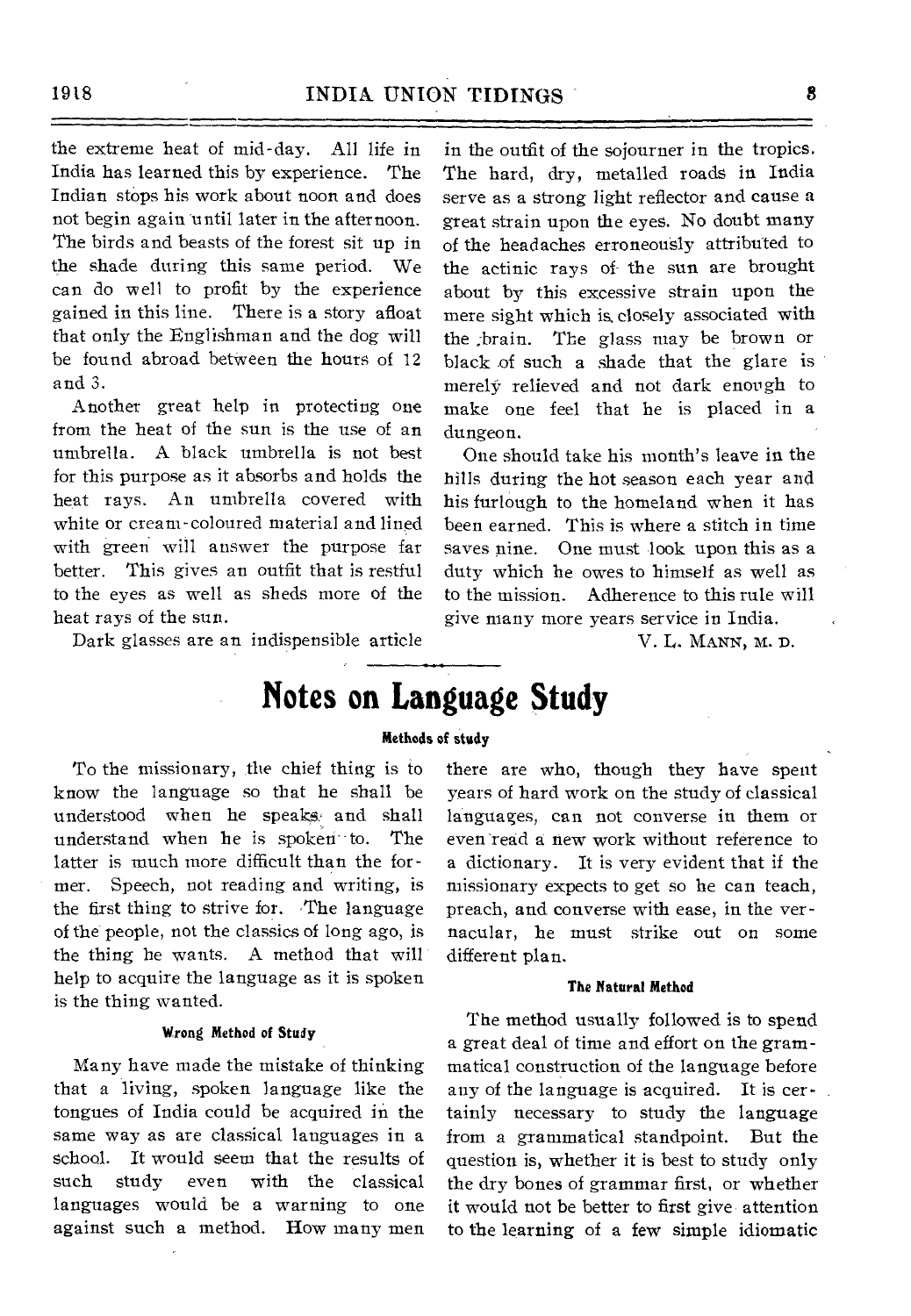the extreme heat of mid-day. All life in India has learned this by experience. The Indian stops his work about noon and does not begin again until later in the afternoon. The birds and beasts of the forest sit up in the shade during this same period. We can do well to profit by the experience gained in this line. There is a story afloat that only the Englishman and the dog will be found abroad between the hours of 12 and 3.

Another great help in protecting one from the heat of the sun is the use of an umbrella. A black umbrella is not best for this purpose as it absorbs and holds the heat rays. An umbrella covered with white or cream-coloured material and lined with green will answer the purpose far better. This gives an outfit that is restful to the eyes as well as sheds more of the heat rays of the sun.

Dark glasses are an indispensible article

in the outfit of the sojourner in the tropics. The hard, dry, metalled roads in India serve as a strong light reflector and cause a great strain upon the eyes. No doubt many of the headaches erroneously attributed to the actinic rays of the sun are brought about by this excessive strain upon the mere sight which is. closely associated with the ;brain. The glass may be brown or black of such a shade that the glare is merely relieved and not dark enough to make one feel that he is placed in a dungeon.

One should take his month's leave in the hills during the hot season each year and his furlough to the homeland when it has been earned. This is where a stitch in time saves nine. One must look upon this as a duty which he owes to himself as well as to the mission. Adherence to this rule will give many more years service in India.

V. L. MANN, M. D.

## **Notes on Language Study**

#### **Methods of study**

To the missionary, the chief thing is to know the language so that he shall be understood when he speaks: and shall understand when he is spoken to. The latter is much more difficult than the former. Speech, not reading and writing, is the first thing to strive for. The language of the people, not the classics of long ago, is the thing he wants. A method that will help to acquire the language as it is spoken is the thing wanted.

#### **Wrong Method of Study**

Many have made the mistake of thinking that a living, spoken language like the tongues of India could be acquired in the same way as are classical languages in a school. It would seem that the results of such study even with the classical languages would be a warning to one against such a method. How many men there are who, though they have spent years of hard work on the study of classical languages, can not converse in them or even read a new work without reference to a dictionary. It is very evident that if the missionary expects to get so he can teach, preach, and converse with ease, in the vernacular, he must strike out on some different plan.

#### **The Natural Method**

The method usually followed is to spend a great deal of time and effort on the grammatical construction of the language before any of the language is acquired. It is certainly necessary to study the language from a grammatical standpoint. But the question is, whether it is best to study only the dry bones of grammar first, or whether it would not be better to first give attention to the learning of a few simple idiomatic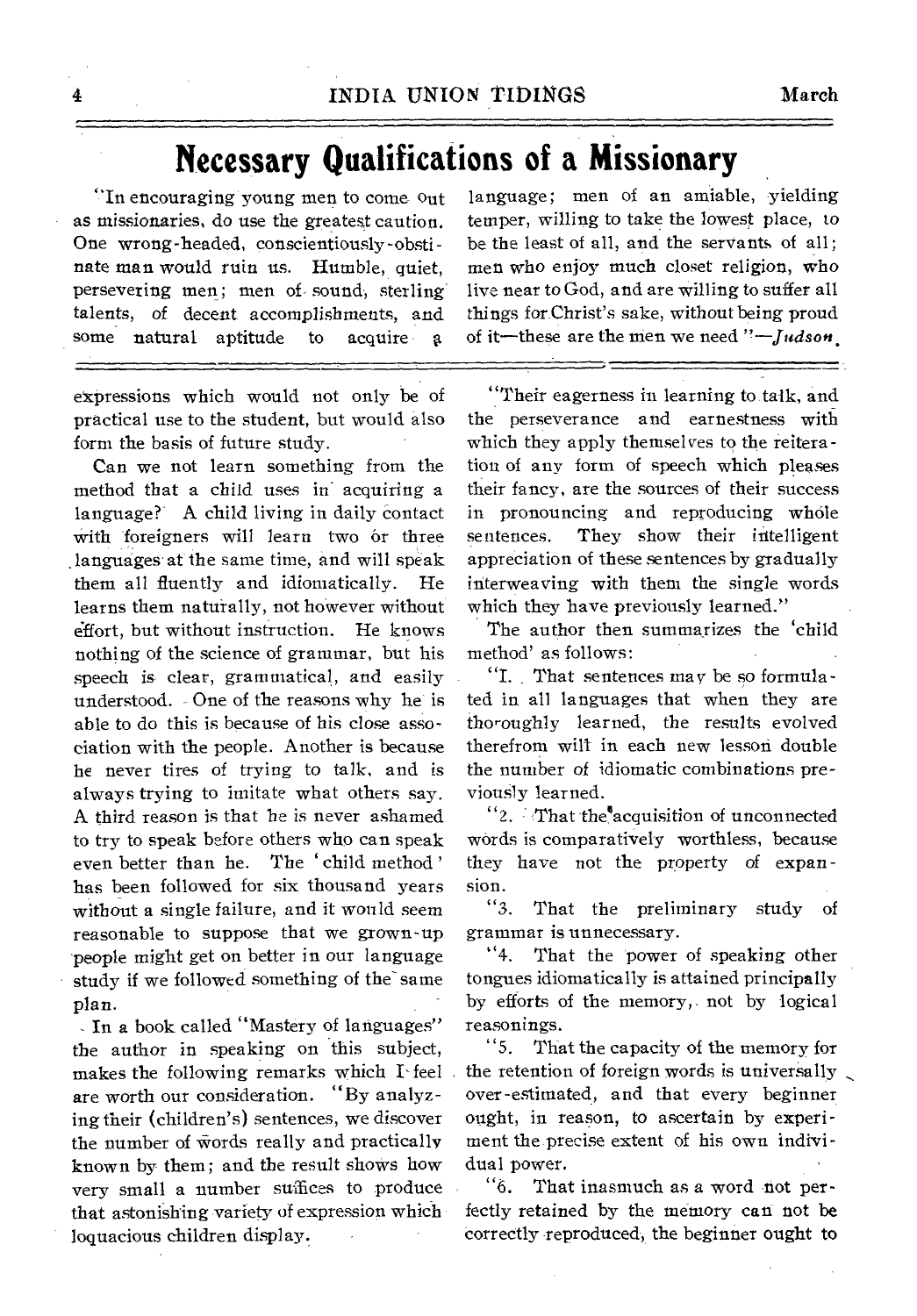## **Necessary Qualifications of a Missionary**

"In encouraging young men to come Out as missionaries, do use the greatest caution. One wrong-headed, conscientiously-obstinate man would ruin us. Humble, quiet, persevering men; men of- sound, sterling talents, of decent accomplishments, and some natural aptitude to acquire

expressions which would not only be of practical use to the student, but would also form the basis of future study.

Can we not learn something from the method that a child uses in acquiring a language? A child living in daily contact with foreigners will learn two or three languages at the same time, and will speak them all fluently and idiomatically. He learns them naturally, not however without effort, but without instruction. He knows nothing of the science of grammar, but his speech is clear, grammatical, and easily understood. One of the reasons why he is able to do this is because of his close association with the people. Another is because he never tires of trying to talk, and is always trying to imitate what others say. A third reason is that he is never ashamed to try to speak before others who can speak even better than he. The 'child method' has been followed for six thousand years without a single failure, and it would seem reasonable to suppose that we grown-up people might get on better in our language study if we followed something of the same plan.

- In a book called "Mastery of languages" the author in speaking on this subject, makes the following remarks which I- feel are worth our consideration. "By analyzing their (children's) sentences, we discover the number of words really and practically known by them; and the result shows how very small a number suffices to produce that astonishing variety of expression which loquacious children display.

language; men of an amiable, yielding temper, willing to take the lowest place, to be the least of all, and the servants of all; men who enjoy much closet religion, who live near to God, and are willing to suffer all things for Christ's sake, without being proud of it—these are the men we need *"—Judson,* 

"Their eagerness in learning to talk, and the perseverance and earnestness with which they apply themselves to the reiteration of any form of speech which pleases their fancy, are the sources of their success in pronouncing and reproducing whole sentences. They show their intelligent appreciation of these sentences by gradually interweaving with them the single words which they have previously learned."

The author then summarizes the 'child method' as follows:

"I. That sentences may be so formulated in all languages that when they are thoroughly learned, the results evolved therefrom will in each new lesson double the number of idiomatic combinations previously learned.

"2. That the'acquisition of unconnected words is comparatively worthless, because they have not the property of expansion.

"3. That the preliminary study of grammar is unnecessary.

"4. That the power of speaking other tongues idiomatically is attained principally by efforts of the memory, not by logical reasonings.

"5. That the capacity of the memory for the retention of foreign words is universally over-estimated, and that every beginner ought, in reason, to ascertain by experiment the precise extent of his own individual power.

"6. That inasmuch as a word not perfectly retained by the memory can not be correctly reproduced, the beginner ought to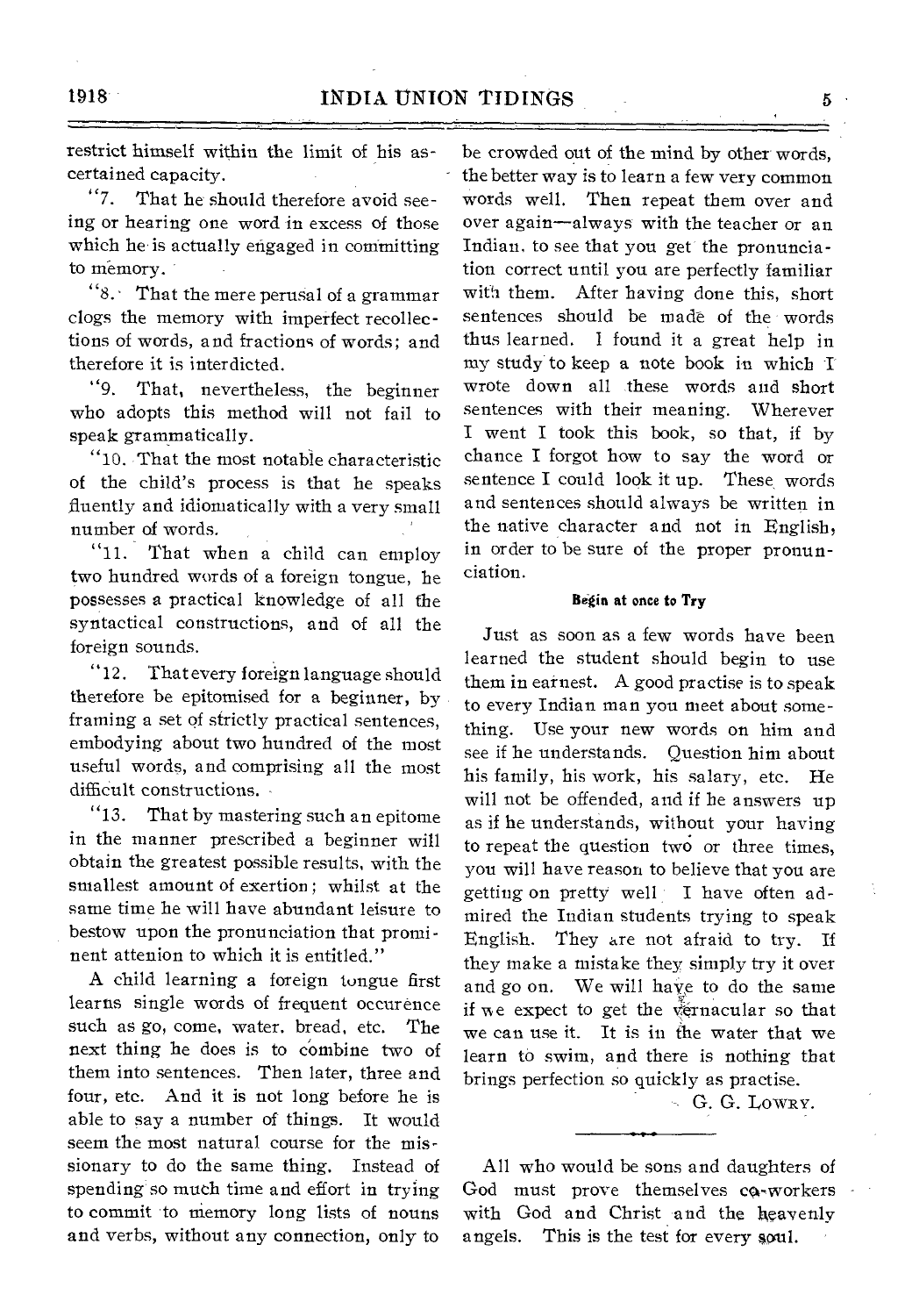restrict himself within the limit of his ascertained capacity.

"7. That he should therefore avoid seeing or hearing one word in excess of those which he is actually engaged in committing to memory.

"8.• That the mere perusal of a grammar clogs the memory with imperfect recollections of words, and fractions of words; and therefore it is interdicted.

"9. That, nevertheless, the beginner who adopts this method will not fail to speak grammatically.

"10. That the most notable characteristic of the child's process is that he speaks fluently and idiomatically with a very small number of words.

"11. That when a child can employ two hundred words of a foreign tongue, he possesses a practical knowledge of all the syntactical constructions, and of all the foreign sounds.

"12. That every foreign language should therefore be epitomised for a beginner, by framing a set of strictly practical sentences, embodying about two hundred of the most useful words, and comprising all the most difficult constructions.

"13. That by mastering such an epitome in the manner prescribed a beginner will obtain the greatest possible results, with the smallest amount of exertion; whilst at the same time he will have abundant leisure to bestow upon the pronunciation that prominent attenion to which it is entitled."

A child learning a foreign tongue first learns single words of frequent occurence such as go, come, water. bread, etc. The next thing he does is to combine two of them into sentences. Then later, three and four, etc. And it is not long before he is able to say a number of things. It would seem the most natural course for the missionary to do the same thing. Instead of spending so much time and effort in trying to commit to memory long lists of nouns and verbs, without any connection, only to

be crowded out of the mind by other words, the better way is to learn a few very common words well. Then repeat them over and over again—always with the teacher or an Indian, to see that you get the pronunciation correct until you are perfectly familiar with them. After having done this, short sentences should be made of the words thus learned. I found it a great help in my study to keep a note book in which I wrote down all these words and short sentences with their meaning. Wherever I went I took this book, so that, if by chance I forgot how to say the word or sentence I could look it up. These, words and sentences should always be written in the native character and not in English, in order to be sure of the proper pronunciation.

#### Begin at once to Try

Just as soon as a few words have been learned the student should begin to use them in earnest. A good practise is to speak to every Indian man you meet about something. Use your new words on him and see if he understands. Question him about his family, his work, his salary, etc. He will not be offended, and if he answers up as if he understands, without your having to repeat the question two or three times, you will have reason to believe that you are getting on pretty well I have often admired the Indian students trying to speak English. They are not afraid to try. If they make a mistake they simply try it over and go on. We will haye to do the same if we expect to get the vernacular so that we can use it. It is in the water that we learn to swim, and there is nothing that brings perfection so quickly as practise.

- G. G. LOWRY.

All who would be sons and daughters of God must prove themselves co-workers with God and Christ and the heavenly angels. This is the test for every soul. This is the test for every soul.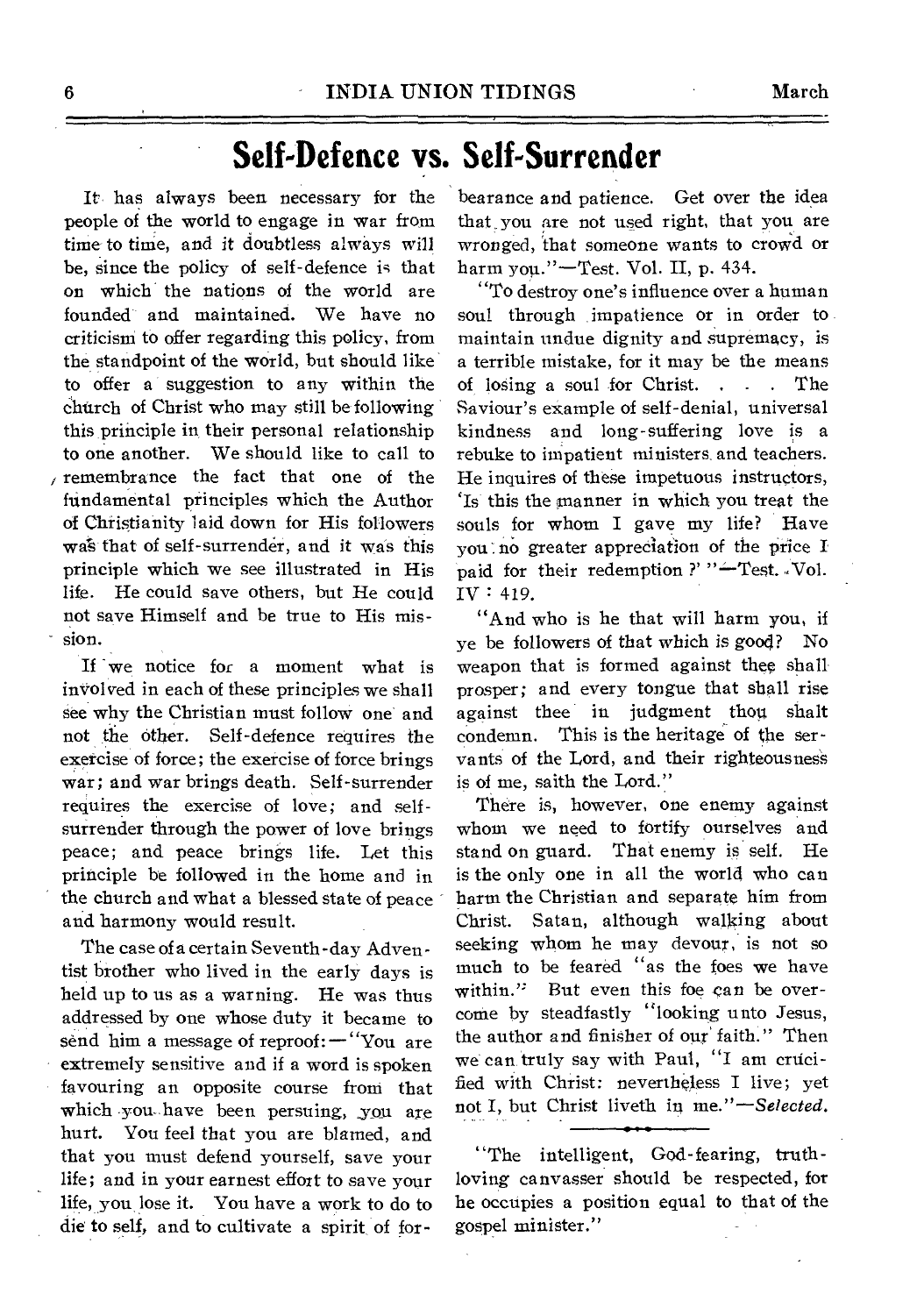## **Self-Defence vs. Self-Surrender**

It has always been necessary for the people of the world to engage in war from time to time, and it doubtless always will be, since the policy of self-defence is that on which the nations of the world are founded and maintained. We have no criticism to offer regarding this policy, from the standpoint of the world, but should like to offer a suggestion to any within the church of Christ who may still be following this principle in, their personal relationship to one another. We should like to call to remembrance the fact that one of the fundamental principles which the Author of Christianity laid down for His followers wa% that of self-surrender, and it was this principle which we see illustrated in His life. He could save others, but He could not save Himself and be true to His mission.

If 'we notice for a moment what is inVolved in each of these principles we shall see why the Christian must follow one and not the other. Self-defence requires the exercise of force; the exercise of force brings war; and war brings death. Self-surrender requires the exercise of love; and selfsurrender through the power of love brings peace; and peace brings life. Let this principle be followed in the home and in the church and what a blessed state of peace and harmony would result.

The case of a certain Seventh -day Adventist brother who lived in the early days is held up to us as a warning. He was thus addressed by one whose duty it became to send him a message of reproof: —"You are extremely sensitive and if a word is spoken favouring an opposite course from that which •you have been persuing, you are hurt. You feel that you are blamed, and that you must defend yourself, save your life; and in your earnest effort to save your life, you lose it. You have a work to do to die to self, and to cultivate a spirit of for-

bearance and patience. Get over the idea that you are not used right, that you are wronged, 'that someone wants to crowd or harm you."—Test. Vol. II, p. 434.

"To destroy one's influence over a human soul through impatience or in order to maintain undue dignity and supremacy, is a terrible mistake, for it may be the means of losing a soul for Christ. . . . The Saviour's example of self-denial, universal kindness and long-suffering love is a rebuke to impatient ministers and teachers. He inquires of these impetuous instructors, 'Is this the manner in which you treat the souls for whom I gave my life? Have you:no greater appreciation of the price I paid for their redemption ?' " $-$ Test. Vol. IV : 419.

"And who is he that will harm you, if ye be followers of that which is good? No weapon that is formed against thee shall prosper; and every tongue that shall rise against thee in judgment thou shalt condemn. This is the heritage of the servants of the Lord, and their righteousness is of me, saith the Lord."

There is, however, one enemy against whom we need to fortify ourselves and stand on guard. That enemy is self. He is the only one in all the world who can harm the Christian and separate him from Christ. Satan, although walling about seeking whom he may devour, is not so much to be feared "as the foes we have<br>within." But even this foe can be over-But even this foe can be overcome by steadfastly "looking unto Jesus, the author and finisher of our' faith." Then we can truly say with Paul, "I am crucified with Christ: nevertheless I live; yet not I, but Christ liveth in *me."—Selected.* 

"The intelligent, God-fearing, truthloving canvasser should be respected, for he occupies a position equal to that of the gospel minister."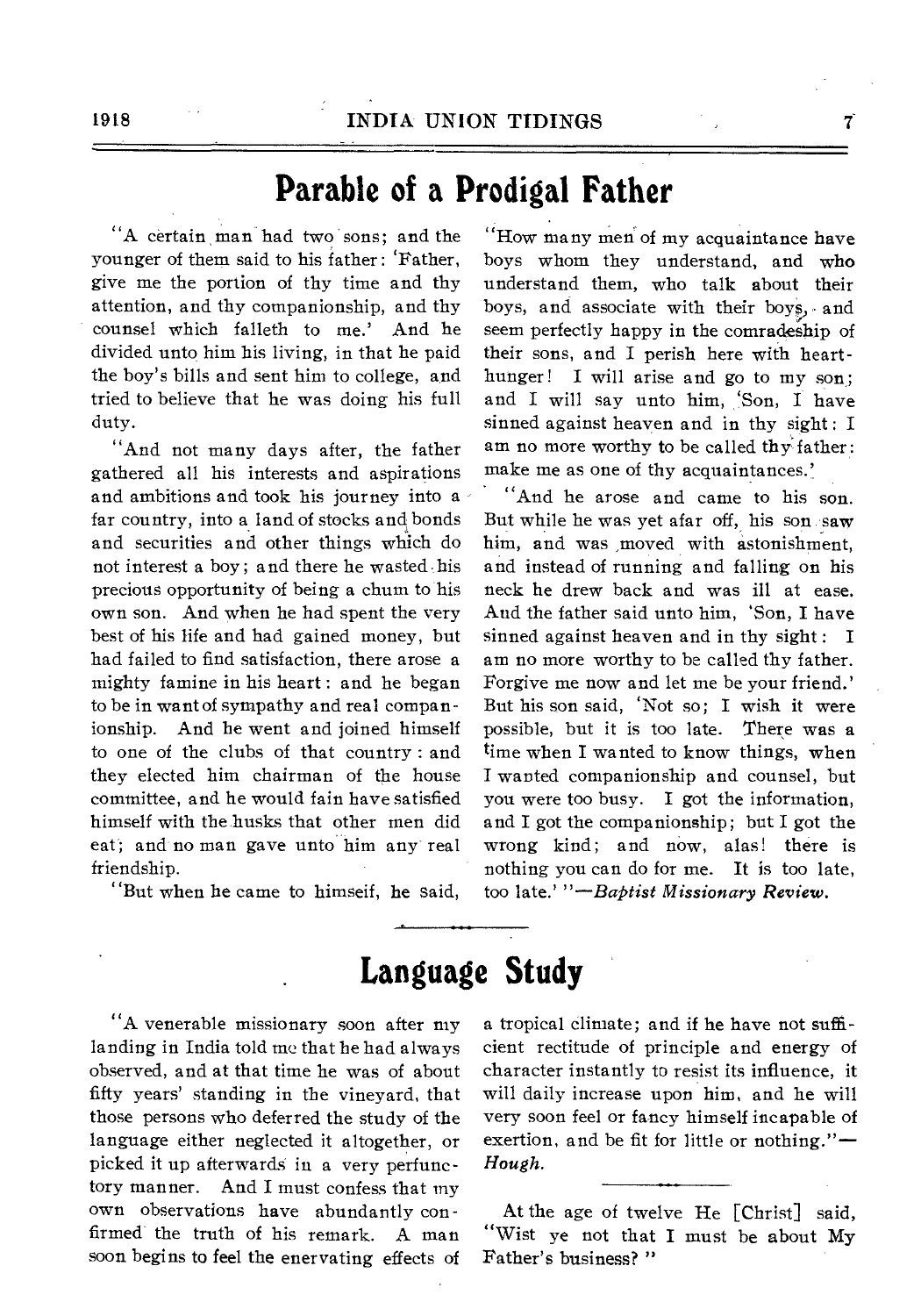## **Parable of a Prodigal Father**

"A certain, man had two sons; and the younger of them said to his father : 'Father, give me the portion of thy time and thy attention, and thy companionship, and thy counsel which falleth to me.' And he divided unto him his living, in that he paid the boy's bills and sent him to college, and tried to believe that he was doing his full duty.

"And not many days after, the father gathered all his interests and aspirations and ambitions and took his journey into a far country, into a land of stocks and bonds and securities and other things which do not interest a boy; and there he wasted his precious opportunity of being a chum to his own son. And when he had spent the very best of his life and had gained money, but had failed to find satisfaction, there arose a mighty famine in his heart : and he began to be in want of sympathy and real companionship. And he went and joined himself to one of the clubs of that country : and they elected him chairman of the house committee, and he would fain have satisfied himself with the husks that other men did eat; and no man gave unto him any real friendship.

"But when he came to himseif, he said,

"How many men of my acquaintance have boys whom they understand, and who understand them, who talk about their boys, and associate with their boys, and seem perfectly happy in the comradeship of their sons, and I perish here with hearthunger! I will arise and go to my son; and I will say unto him, 'Son, I have sinned against heaven and in thy sight: I am no more worthy to be called thy father: make me as one of thy acquaintances.'

"And he arose and came to his son. But while he was yet afar off, his son saw him, and was ,moved with astonishment, and instead of running and falling on his neck he drew back and was ill at ease. And the father said unto him, 'Son, I have sinned against heaven and in thy sight : I am no more worthy to be called thy father. Forgive me now and let me be your friend.' But his son said, 'Not so; I wish it were possible, but it is too late. There was a time when I wanted to know things, when I wanted companionship and counsel, but you were too busy. I got the information, and I got the companionship; but I got the wrong kind; and now, alas! there is nothing you can do for me. It is too late, too late.' *"—Baptist Missionary Review.* 

## **Language Study**

"A venerable missionary soon after my landing in India told me that he had always observed, and at that time he was of about fifty years' standing in the vineyard, that those persons who deferred the study of the language either neglected it altogether, or picked it up afterwards in a very perfunctory manner. And I must confess that my own observations have abundantly confirmed the truth of his remark. A man soon begins to feel the enervating effects of a tropical climate; and if he have not sufficient rectitude of principle and energy of character instantly to resist its influence, it will daily increase upon him, and he will very soon feel or fancy himself incapable of exertion, and be fit for little or nothing."— *Hough.* 

At the age of twelve He [Christ] said, "Wist ye not that I must be about My Father's business? "

7